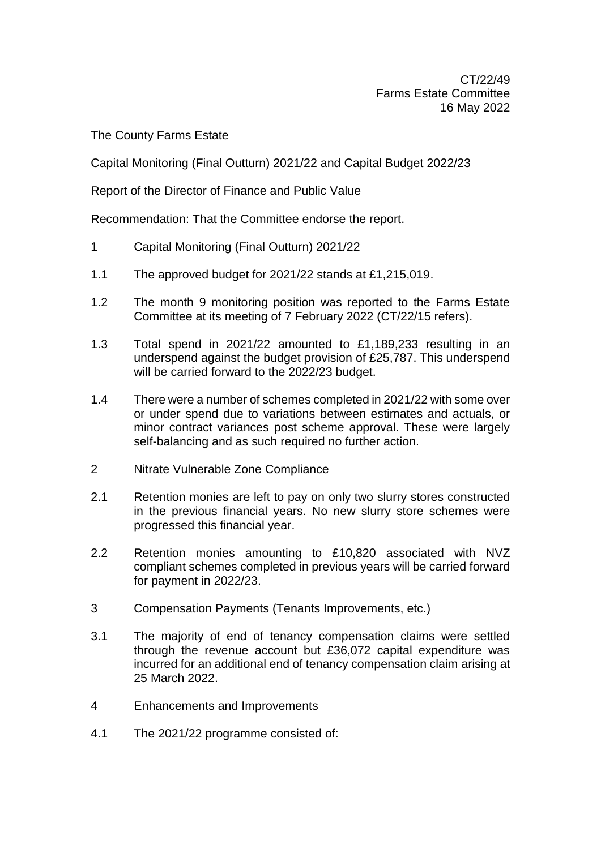The County Farms Estate

Capital Monitoring (Final Outturn) 2021/22 and Capital Budget 2022/23

Report of the Director of Finance and Public Value

Recommendation: That the Committee endorse the report.

- 1 Capital Monitoring (Final Outturn) 2021/22
- 1.1 The approved budget for 2021/22 stands at £1,215,019.
- 1.2 The month 9 monitoring position was reported to the Farms Estate Committee at its meeting of 7 February 2022 (CT/22/15 refers).
- 1.3 Total spend in 2021/22 amounted to £1,189,233 resulting in an underspend against the budget provision of £25,787. This underspend will be carried forward to the 2022/23 budget.
- 1.4 There were a number of schemes completed in 2021/22 with some over or under spend due to variations between estimates and actuals, or minor contract variances post scheme approval. These were largely self-balancing and as such required no further action.
- 2 Nitrate Vulnerable Zone Compliance
- 2.1 Retention monies are left to pay on only two slurry stores constructed in the previous financial years. No new slurry store schemes were progressed this financial year.
- 2.2 Retention monies amounting to £10,820 associated with NVZ compliant schemes completed in previous years will be carried forward for payment in 2022/23.
- 3 Compensation Payments (Tenants Improvements, etc.)
- 3.1 The majority of end of tenancy compensation claims were settled through the revenue account but £36,072 capital expenditure was incurred for an additional end of tenancy compensation claim arising at 25 March 2022.
- 4 Enhancements and Improvements
- 4.1 The 2021/22 programme consisted of: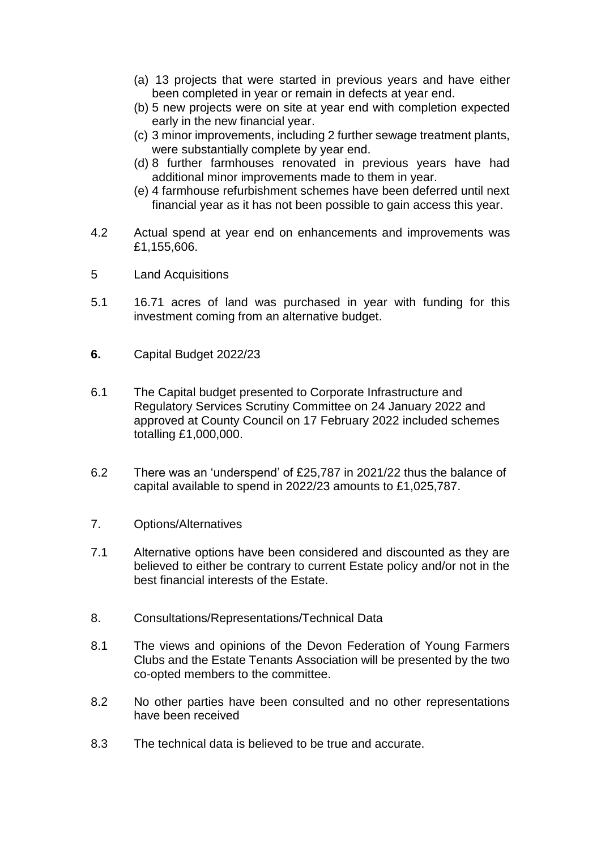- (a) 13 projects that were started in previous years and have either been completed in year or remain in defects at year end.
- (b) 5 new projects were on site at year end with completion expected early in the new financial year.
- (c) 3 minor improvements, including 2 further sewage treatment plants, were substantially complete by year end.
- (d) 8 further farmhouses renovated in previous years have had additional minor improvements made to them in year.
- (e) 4 farmhouse refurbishment schemes have been deferred until next financial year as it has not been possible to gain access this year.
- 4.2 Actual spend at year end on enhancements and improvements was £1,155,606.
- 5 Land Acquisitions
- 5.1 16.71 acres of land was purchased in year with funding for this investment coming from an alternative budget.
- **6.** Capital Budget 2022/23
- 6.1 The Capital budget presented to Corporate Infrastructure and Regulatory Services Scrutiny Committee on 24 January 2022 and approved at County Council on 17 February 2022 included schemes totalling £1,000,000.
- 6.2 There was an 'underspend' of £25,787 in 2021/22 thus the balance of capital available to spend in 2022/23 amounts to £1,025,787.
- 7. Options/Alternatives
- 7.1 Alternative options have been considered and discounted as they are believed to either be contrary to current Estate policy and/or not in the best financial interests of the Estate.
- 8. Consultations/Representations/Technical Data
- 8.1 The views and opinions of the Devon Federation of Young Farmers Clubs and the Estate Tenants Association will be presented by the two co-opted members to the committee.
- 8.2 No other parties have been consulted and no other representations have been received
- 8.3 The technical data is believed to be true and accurate.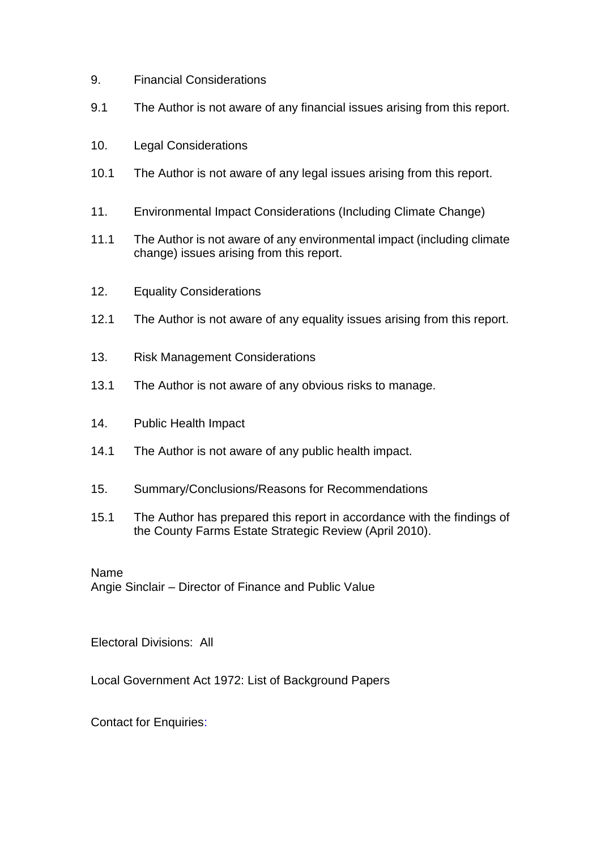- 9. Financial Considerations
- 9.1 The Author is not aware of any financial issues arising from this report.
- 10. Legal Considerations
- 10.1 The Author is not aware of any legal issues arising from this report.
- 11. Environmental Impact Considerations (Including Climate Change)
- 11.1 The Author is not aware of any environmental impact (including climate change) issues arising from this report.
- 12. Equality Considerations
- 12.1 The Author is not aware of any equality issues arising from this report.
- 13. Risk Management Considerations
- 13.1 The Author is not aware of any obvious risks to manage.
- 14. Public Health Impact
- 14.1 The Author is not aware of any public health impact.
- 15. Summary/Conclusions/Reasons for Recommendations
- 15.1 The Author has prepared this report in accordance with the findings of the County Farms Estate Strategic Review (April 2010).

Name Angie Sinclair – Director of Finance and Public Value

Electoral Divisions: All

Local Government Act 1972: List of Background Papers

Contact for Enquiries: